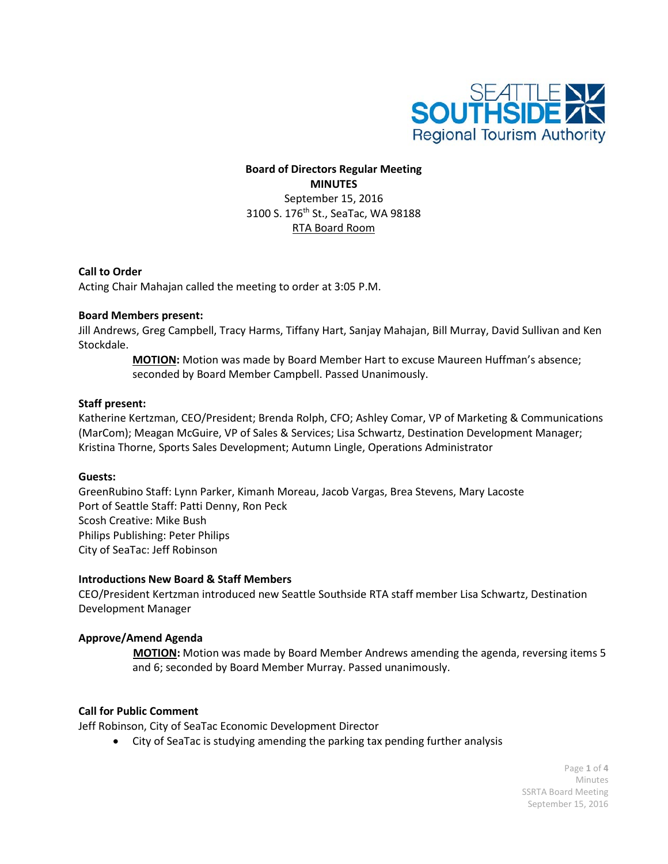

# **Board of Directors Regular Meeting MINUTES** September 15, 2016 3100 S. 176<sup>th</sup> St., SeaTac, WA 98188 RTA Board Room

## **Call to Order**

Acting Chair Mahajan called the meeting to order at 3:05 P.M.

### **Board Members present:**

Jill Andrews, Greg Campbell, Tracy Harms, Tiffany Hart, Sanjay Mahajan, Bill Murray, David Sullivan and Ken Stockdale.

> **MOTION:** Motion was made by Board Member Hart to excuse Maureen Huffman's absence; seconded by Board Member Campbell. Passed Unanimously.

### **Staff present:**

Katherine Kertzman, CEO/President; Brenda Rolph, CFO; Ashley Comar, VP of Marketing & Communications (MarCom); Meagan McGuire, VP of Sales & Services; Lisa Schwartz, Destination Development Manager; Kristina Thorne, Sports Sales Development; Autumn Lingle, Operations Administrator

### **Guests:**

GreenRubino Staff: Lynn Parker, Kimanh Moreau, Jacob Vargas, Brea Stevens, Mary Lacoste Port of Seattle Staff: Patti Denny, Ron Peck Scosh Creative: Mike Bush Philips Publishing: Peter Philips City of SeaTac: Jeff Robinson

### **Introductions New Board & Staff Members**

CEO/President Kertzman introduced new Seattle Southside RTA staff member Lisa Schwartz, Destination Development Manager

## **Approve/Amend Agenda**

**MOTION:** Motion was made by Board Member Andrews amending the agenda, reversing items 5 and 6; seconded by Board Member Murray. Passed unanimously.

### **Call for Public Comment**

Jeff Robinson, City of SeaTac Economic Development Director

• City of SeaTac is studying amending the parking tax pending further analysis

Page **1** of **4** Minutes SSRTA Board Meeting September 15, 2016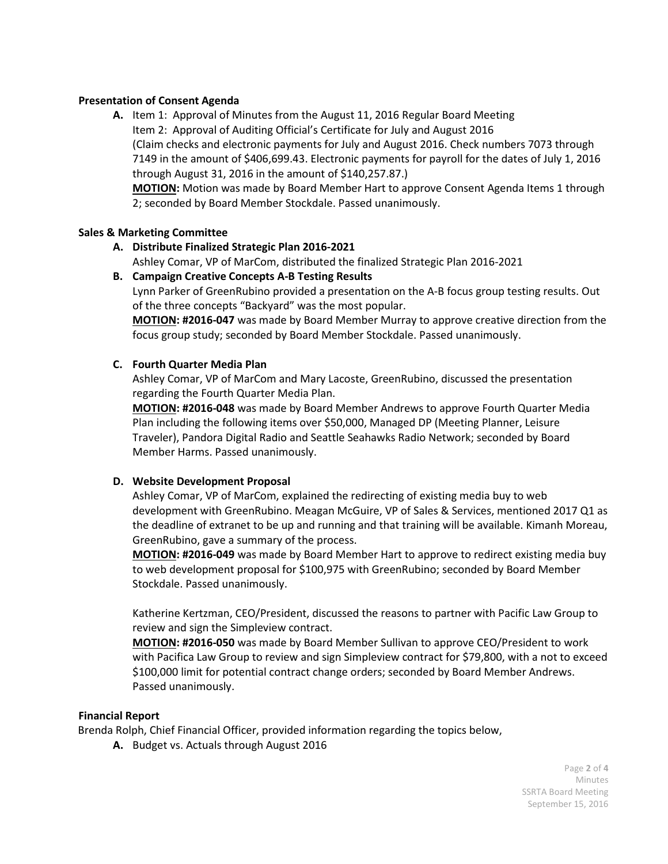## **Presentation of Consent Agenda**

**A.** Item 1: Approval of Minutes from the August 11, 2016 Regular Board Meeting Item 2: Approval of Auditing Official's Certificate for July and August 2016 (Claim checks and electronic payments for July and August 2016. Check numbers 7073 through 7149 in the amount of \$406,699.43. Electronic payments for payroll for the dates of July 1, 2016 through August 31, 2016 in the amount of \$140,257.87.)

**MOTION:** Motion was made by Board Member Hart to approve Consent Agenda Items 1 through 2; seconded by Board Member Stockdale. Passed unanimously.

### **Sales & Marketing Committee**

**A. Distribute Finalized Strategic Plan 2016-2021** 

Ashley Comar, VP of MarCom, distributed the finalized Strategic Plan 2016-2021

**B. Campaign Creative Concepts A-B Testing Results**

Lynn Parker of GreenRubino provided a presentation on the A-B focus group testing results. Out of the three concepts "Backyard" was the most popular.

**MOTION: #2016-047** was made by Board Member Murray to approve creative direction from the focus group study; seconded by Board Member Stockdale. Passed unanimously.

## **C. Fourth Quarter Media Plan**

Ashley Comar, VP of MarCom and Mary Lacoste, GreenRubino, discussed the presentation regarding the Fourth Quarter Media Plan.

**MOTION: #2016-048** was made by Board Member Andrews to approve Fourth Quarter Media Plan including the following items over \$50,000, Managed DP (Meeting Planner, Leisure Traveler), Pandora Digital Radio and Seattle Seahawks Radio Network; seconded by Board Member Harms. Passed unanimously.

## **D. Website Development Proposal**

Ashley Comar, VP of MarCom, explained the redirecting of existing media buy to web development with GreenRubino. Meagan McGuire, VP of Sales & Services, mentioned 2017 Q1 as the deadline of extranet to be up and running and that training will be available. Kimanh Moreau, GreenRubino, gave a summary of the process.

**MOTION: #2016-049** was made by Board Member Hart to approve to redirect existing media buy to web development proposal for \$100,975 with GreenRubino; seconded by Board Member Stockdale. Passed unanimously.

Katherine Kertzman, CEO/President, discussed the reasons to partner with Pacific Law Group to review and sign the Simpleview contract.

**MOTION: #2016-050** was made by Board Member Sullivan to approve CEO/President to work with Pacifica Law Group to review and sign Simpleview contract for \$79,800, with a not to exceed \$100,000 limit for potential contract change orders; seconded by Board Member Andrews. Passed unanimously.

### **Financial Report**

Brenda Rolph, Chief Financial Officer, provided information regarding the topics below,

**A.** Budget vs. Actuals through August 2016

Page **2** of **4** Minutes SSRTA Board Meeting September 15, 2016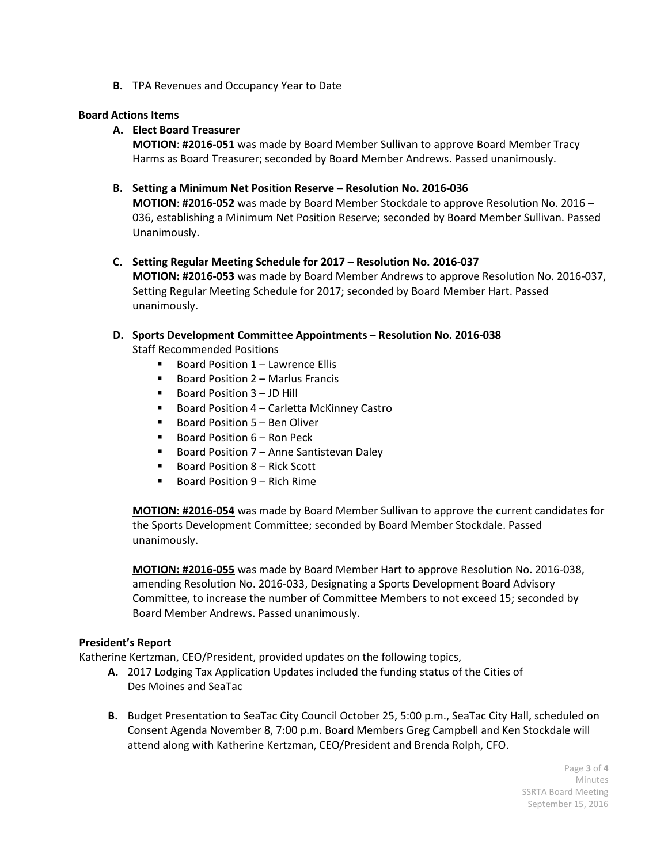**B.** TPA Revenues and Occupancy Year to Date

### **Board Actions Items**

## **A. Elect Board Treasurer**

**MOTION**: **#2016-051** was made by Board Member Sullivan to approve Board Member Tracy Harms as Board Treasurer; seconded by Board Member Andrews. Passed unanimously.

## **B. Setting a Minimum Net Position Reserve – Resolution No. 2016-036**

**MOTION**: **#2016-052** was made by Board Member Stockdale to approve Resolution No. 2016 – 036, establishing a Minimum Net Position Reserve; seconded by Board Member Sullivan. Passed Unanimously.

**C. Setting Regular Meeting Schedule for 2017 – Resolution No. 2016-037 MOTION: #2016-053** was made by Board Member Andrews to approve Resolution No. 2016-037, Setting Regular Meeting Schedule for 2017; seconded by Board Member Hart. Passed unanimously.

### **D. Sports Development Committee Appointments – Resolution No. 2016-038**

Staff Recommended Positions

- Board Position 1 Lawrence Ellis
- **Board Position 2 Marlus Francis**
- Board Position 3 JD Hill
- Board Position 4 Carletta McKinney Castro
- $\blacksquare$  Board Position 5 Ben Oliver
- Board Position 6 Ron Peck
- Board Position 7 Anne Santistevan Daley
- Board Position 8 Rick Scott
- $\blacksquare$  Board Position 9 Rich Rime

**MOTION: #2016-054** was made by Board Member Sullivan to approve the current candidates for the Sports Development Committee; seconded by Board Member Stockdale. Passed unanimously.

**MOTION: #2016-055** was made by Board Member Hart to approve Resolution No. 2016-038, amending Resolution No. 2016-033, Designating a Sports Development Board Advisory Committee, to increase the number of Committee Members to not exceed 15; seconded by Board Member Andrews. Passed unanimously.

### **President's Report**

Katherine Kertzman, CEO/President, provided updates on the following topics,

- **A.** 2017 Lodging Tax Application Updates included the funding status of the Cities of Des Moines and SeaTac
- **B.** Budget Presentation to SeaTac City Council October 25, 5:00 p.m., SeaTac City Hall, scheduled on Consent Agenda November 8, 7:00 p.m. Board Members Greg Campbell and Ken Stockdale will attend along with Katherine Kertzman, CEO/President and Brenda Rolph, CFO.

Page **3** of **4** Minutes SSRTA Board Meeting September 15, 2016